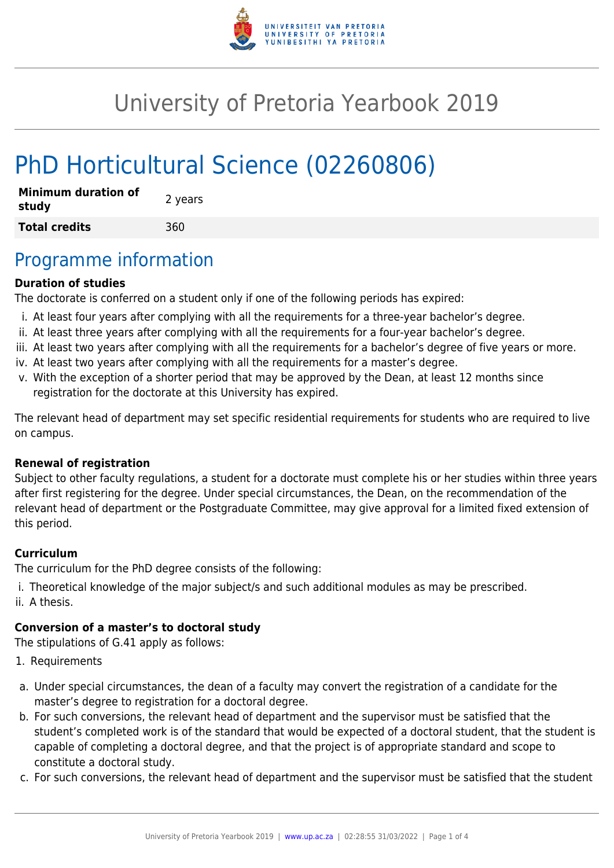

# University of Pretoria Yearbook 2019

# PhD Horticultural Science (02260806)

| <b>Minimum duration of</b><br>study | 2 years |
|-------------------------------------|---------|
| <b>Total credits</b>                | 360     |

### Programme information

#### **Duration of studies**

The doctorate is conferred on a student only if one of the following periods has expired:

- i. At least four years after complying with all the requirements for a three-year bachelor's degree.
- ii. At least three years after complying with all the requirements for a four-year bachelor's degree.
- iii. At least two years after complying with all the requirements for a bachelor's degree of five years or more.
- iv. At least two years after complying with all the requirements for a master's degree.
- v. With the exception of a shorter period that may be approved by the Dean, at least 12 months since registration for the doctorate at this University has expired.

The relevant head of department may set specific residential requirements for students who are required to live on campus.

#### **Renewal of registration**

Subject to other faculty regulations, a student for a doctorate must complete his or her studies within three years after first registering for the degree. Under special circumstances, the Dean, on the recommendation of the relevant head of department or the Postgraduate Committee, may give approval for a limited fixed extension of this period.

### **Curriculum**

The curriculum for the PhD degree consists of the following:

- i. Theoretical knowledge of the major subject/s and such additional modules as may be prescribed.
- ii. A thesis.

#### **Conversion of a master's to doctoral study**

The stipulations of G.41 apply as follows:

- 1. Requirements
- a. Under special circumstances, the dean of a faculty may convert the registration of a candidate for the master's degree to registration for a doctoral degree.
- b. For such conversions, the relevant head of department and the supervisor must be satisfied that the student's completed work is of the standard that would be expected of a doctoral student, that the student is capable of completing a doctoral degree, and that the project is of appropriate standard and scope to constitute a doctoral study.
- c. For such conversions, the relevant head of department and the supervisor must be satisfied that the student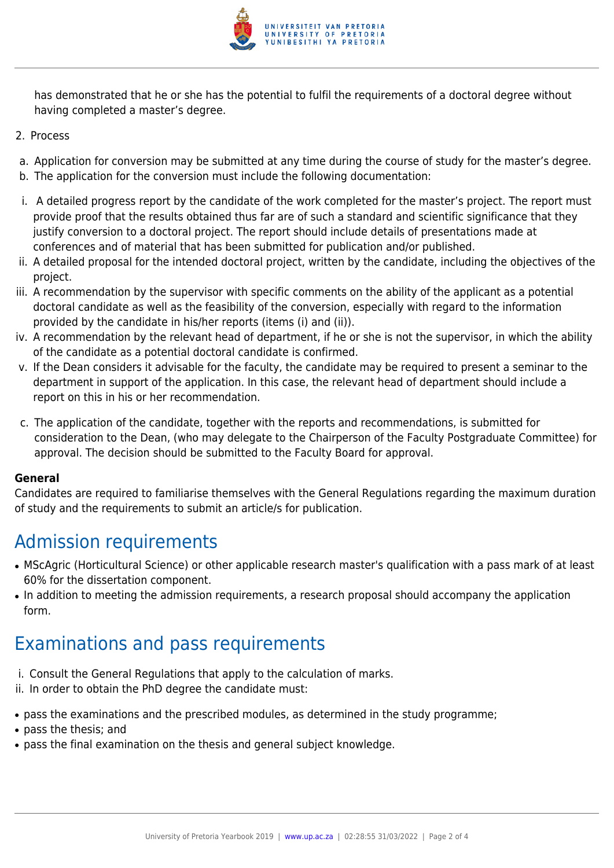

has demonstrated that he or she has the potential to fulfil the requirements of a doctoral degree without having completed a master's degree.

- 2. Process
- a. Application for conversion may be submitted at any time during the course of study for the master's degree.
- b. The application for the conversion must include the following documentation:
- i. A detailed progress report by the candidate of the work completed for the master's project. The report must provide proof that the results obtained thus far are of such a standard and scientific significance that they justify conversion to a doctoral project. The report should include details of presentations made at conferences and of material that has been submitted for publication and/or published.
- ii. A detailed proposal for the intended doctoral project, written by the candidate, including the objectives of the project.
- iii. A recommendation by the supervisor with specific comments on the ability of the applicant as a potential doctoral candidate as well as the feasibility of the conversion, especially with regard to the information provided by the candidate in his/her reports (items (i) and (ii)).
- iv. A recommendation by the relevant head of department, if he or she is not the supervisor, in which the ability of the candidate as a potential doctoral candidate is confirmed.
- v. If the Dean considers it advisable for the faculty, the candidate may be required to present a seminar to the department in support of the application. In this case, the relevant head of department should include a report on this in his or her recommendation.
- c. The application of the candidate, together with the reports and recommendations, is submitted for consideration to the Dean, (who may delegate to the Chairperson of the Faculty Postgraduate Committee) for approval. The decision should be submitted to the Faculty Board for approval.

### **General**

Candidates are required to familiarise themselves with the General Regulations regarding the maximum duration of study and the requirements to submit an article/s for publication.

## Admission requirements

- MScAgric (Horticultural Science) or other applicable research master's qualification with a pass mark of at least 60% for the dissertation component.
- In addition to meeting the admission requirements, a research proposal should accompany the application form.

## Examinations and pass requirements

- i. Consult the General Regulations that apply to the calculation of marks.
- ii. In order to obtain the PhD degree the candidate must:
- pass the examinations and the prescribed modules, as determined in the study programme;
- pass the thesis; and
- pass the final examination on the thesis and general subject knowledge.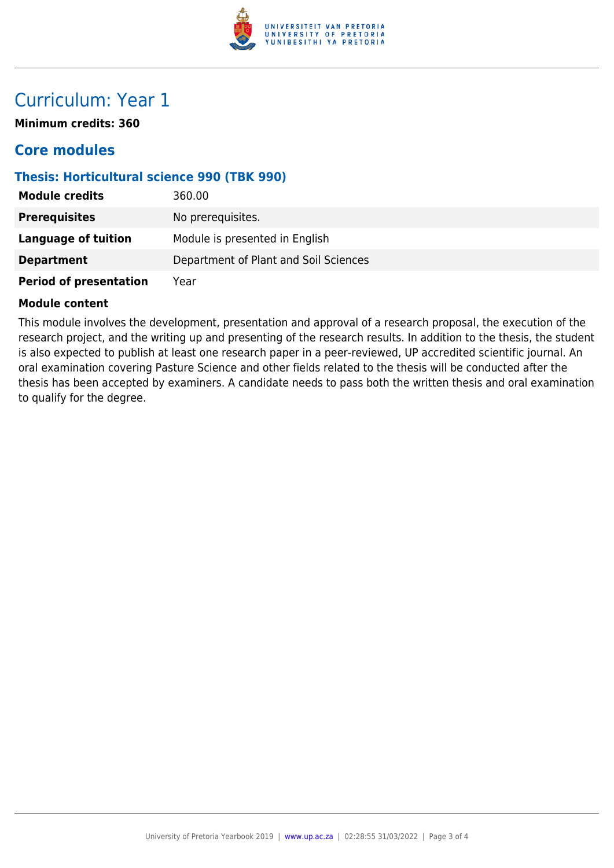

### Curriculum: Year 1

**Minimum credits: 360**

### **Core modules**

### **Thesis: Horticultural science 990 (TBK 990)**

| <b>Module credits</b>         | 360.00                                |
|-------------------------------|---------------------------------------|
| <b>Prerequisites</b>          | No prerequisites.                     |
| <b>Language of tuition</b>    | Module is presented in English        |
| <b>Department</b>             | Department of Plant and Soil Sciences |
| <b>Period of presentation</b> | Year                                  |

#### **Module content**

This module involves the development, presentation and approval of a research proposal, the execution of the research project, and the writing up and presenting of the research results. In addition to the thesis, the student is also expected to publish at least one research paper in a peer-reviewed, UP accredited scientific journal. An oral examination covering Pasture Science and other fields related to the thesis will be conducted after the thesis has been accepted by examiners. A candidate needs to pass both the written thesis and oral examination to qualify for the degree.